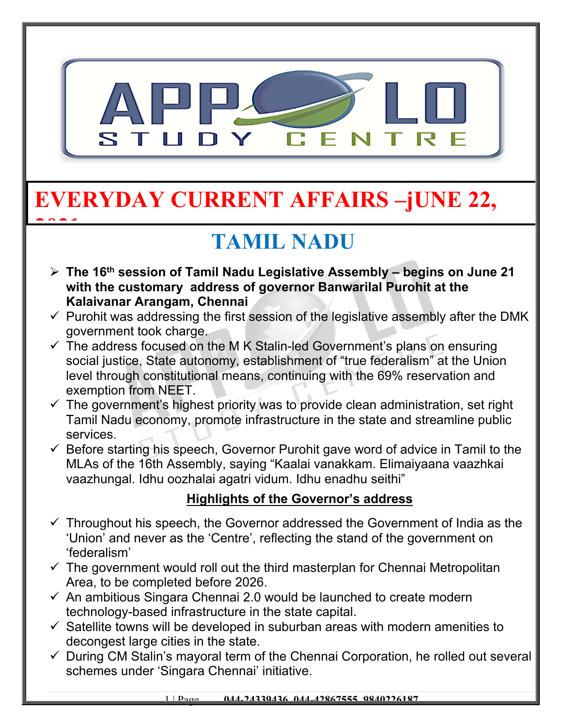

# **EVERYDAY CURRENT AFFAIRS –jUNE 22,**

**2021**

# **TAMIL NADU**

- **The 16th session of Tamil Nadu Legislative Assembly begins on June 21 with the customary address of governor Banwarilal Purohit at the Kalaivanar Arangam, Chennai**
- $\checkmark$  Purohit was addressing the first session of the legislative assembly after the DMK government took charge.
- $\checkmark$  The address focused on the M K Stalin-led Government's plans on ensuring social justice, State autonomy, establishment of "true federalism" at the Union level through constitutional means, continuing with the 69% reservation and exemption from NEET.
- $\checkmark$  The government's highest priority was to provide clean administration, set right Tamil Nadu economy, promote infrastructure in the state and streamline public services.
- $\checkmark$  Before starting his speech, Governor Purohit gave word of advice in Tamil to the MLAs of the 16th Assembly, saying "Kaalai vanakkam. Elimaiyaana vaazhkai vaazhungal. Idhu oozhalai agatri vidum. Idhu enadhu seithi"

### **Highlights of the Governor's address**

- $\checkmark$  Throughout his speech, the Governor addressed the Government of India as the 'Union' and never as the 'Centre', reflecting the stand of the government on 'federalism'
- $\checkmark$  The government would roll out the third masterplan for Chennai Metropolitan Area, to be completed before 2026.
- $\checkmark$  An ambitious Singara Chennai 2.0 would be launched to create modern technology-based infrastructure in the state capital.
- $\checkmark$  Satellite towns will be developed in suburban areas with modern amenities to decongest large cities in the state.
- $\checkmark$  During CM Stalin's mayoral term of the Chennai Corporation, he rolled out several schemes under 'Singara Chennai' initiative.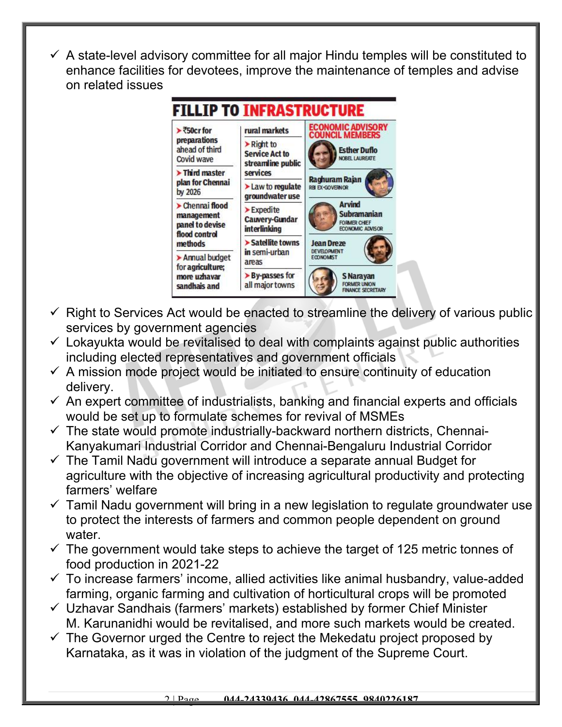$\checkmark$  A state-level advisory committee for all major Hindu temples will be constituted to enhance facilities for devotees, improve the maintenance of temples and advise on related issues



- $\checkmark$  Right to Services Act would be enacted to streamline the delivery of various public services by government agencies
- $\checkmark$  Lokayukta would be revitalised to deal with complaints against public authorities including elected representatives and government officials
- $\checkmark$  A mission mode project would be initiated to ensure continuity of education delivery.
- $\checkmark$  An expert committee of industrialists, banking and financial experts and officials would be set up to formulate schemes for revival of MSMEs
- $\checkmark$  The state would promote industrially-backward northern districts, Chennai-Kanyakumari Industrial Corridor and Chennai-Bengaluru Industrial Corridor
- $\checkmark$  The Tamil Nadu government will introduce a separate annual Budget for agriculture with the objective of increasing agricultural productivity and protecting farmers' welfare
- $\checkmark$  Tamil Nadu government will bring in a new legislation to regulate groundwater use to protect the interests of farmers and common people dependent on ground water.
- $\checkmark$  The government would take steps to achieve the target of 125 metric tonnes of food production in 2021-22
- $\checkmark$  To increase farmers' income, allied activities like animal husbandry, value-added farming, organic farming and cultivation of horticultural crops will be promoted
- $\checkmark$  Uzhavar Sandhais (farmers' markets) established by former Chief Minister M. Karunanidhi would be revitalised, and more such markets would be created.
- $\checkmark$  The Governor urged the Centre to reject the Mekedatu project proposed by Karnataka, as it was in violation of the judgment of the Supreme Court.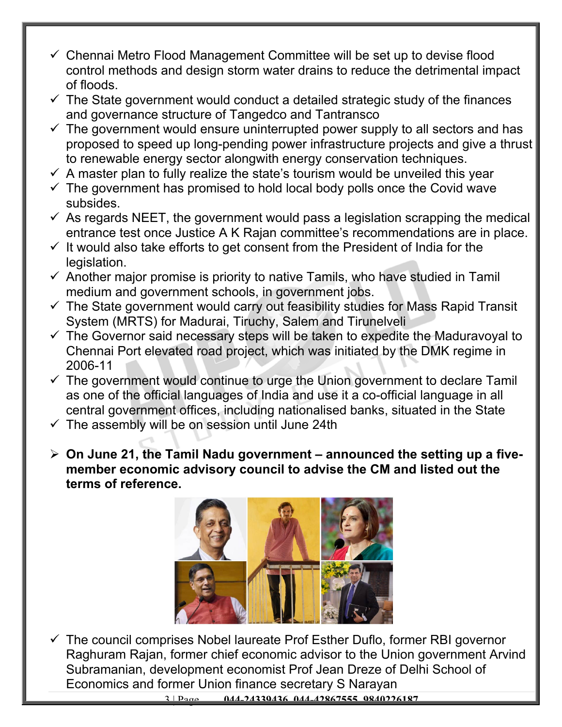- $\checkmark$  Chennai Metro Flood Management Committee will be set up to devise flood control methods and design storm water drains to reduce the detrimental impact of floods.
- $\checkmark$  The State government would conduct a detailed strategic study of the finances and governance structure of Tangedco and Tantransco
- $\checkmark$  The government would ensure uninterrupted power supply to all sectors and has proposed to speed up long-pending power infrastructure projects and give a thrust to renewable energy sector alongwith energy conservation techniques.
- $\checkmark$  A master plan to fully realize the state's tourism would be unveiled this year
- $\checkmark$  The government has promised to hold local body polls once the Covid wave subsides.
- $\checkmark$  As regards NEET, the government would pass a legislation scrapping the medical entrance test once Justice A K Rajan committee's recommendations are in place.
- $\checkmark$  It would also take efforts to get consent from the President of India for the legislation.
- $\checkmark$  Another major promise is priority to native Tamils, who have studied in Tamil medium and government schools, in government jobs.
- $\checkmark$  The State government would carry out feasibility studies for Mass Rapid Transit System (MRTS) for Madurai, Tiruchy, Salem and Tirunelveli
- $\checkmark$  The Governor said necessary steps will be taken to expedite the Maduravoyal to Chennai Port elevated road project, which was initiated by the DMK regime in 2006-11
- $\checkmark$  The government would continue to urge the Union government to declare Tamil as one of the official languages of India and use it a co-official language in all central government offices, including nationalised banks, situated in the State
- $\checkmark$  The assembly will be on session until June 24th
- **On June 21, the Tamil Nadu government announced the setting up a fivemember economic advisory council to advise the CM and listed out the terms of reference.**



 $\checkmark$  The council comprises Nobel laureate Prof Esther Duflo, former RBI governor Raghuram Rajan, former chief economic advisor to the Union government Arvind Subramanian, development economist Prof Jean Dreze of Delhi School of Economics and former Union finance secretary S Narayan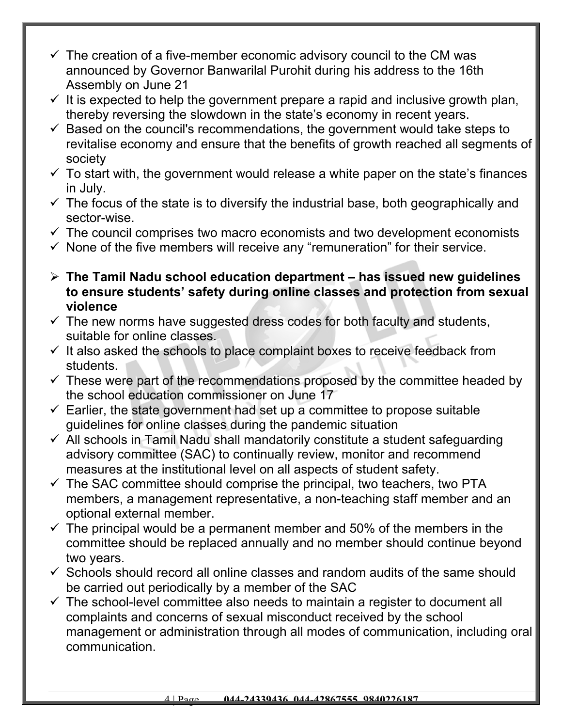- $\checkmark$  The creation of a five-member economic advisory council to the CM was announced by Governor Banwarilal Purohit during his address to the 16th Assembly on June 21
- $\checkmark$  It is expected to help the government prepare a rapid and inclusive growth plan, thereby reversing the slowdown in the state's economy in recent years.
- $\checkmark$  Based on the council's recommendations, the government would take steps to revitalise economy and ensure that the benefits of growth reached all segments of society
- $\checkmark$  To start with, the government would release a white paper on the state's finances in July.
- $\checkmark$  The focus of the state is to diversify the industrial base, both geographically and sector-wise.
- $\checkmark$  The council comprises two macro economists and two development economists
- $\checkmark$  None of the five members will receive any "remuneration" for their service.
- **The Tamil Nadu school education department has issued new guidelines to ensure students' safety during online classes and protection from sexual violence**
- $\checkmark$  The new norms have suggested dress codes for both faculty and students, suitable for online classes.
- $\checkmark$  It also asked the schools to place complaint boxes to receive feedback from students.
- $\checkmark$  These were part of the recommendations proposed by the committee headed by the school education commissioner on June 17
- $\checkmark$  Earlier, the state government had set up a committee to propose suitable guidelines for online classes during the pandemic situation
- $\checkmark$  All schools in Tamil Nadu shall mandatorily constitute a student safeguarding advisory committee (SAC) to continually review, monitor and recommend measures at the institutional level on all aspects of student safety.
- $\checkmark$  The SAC committee should comprise the principal, two teachers, two PTA members, a management representative, a non-teaching staff member and an optional external member.
- $\checkmark$  The principal would be a permanent member and 50% of the members in the committee should be replaced annually and no member should continue beyond two years.
- $\checkmark$  Schools should record all online classes and random audits of the same should be carried out periodically by a member of the SAC
- $\checkmark$  The school-level committee also needs to maintain a register to document all complaints and concerns of sexual misconduct received by the school management or administration through all modes of communication, including oral communication.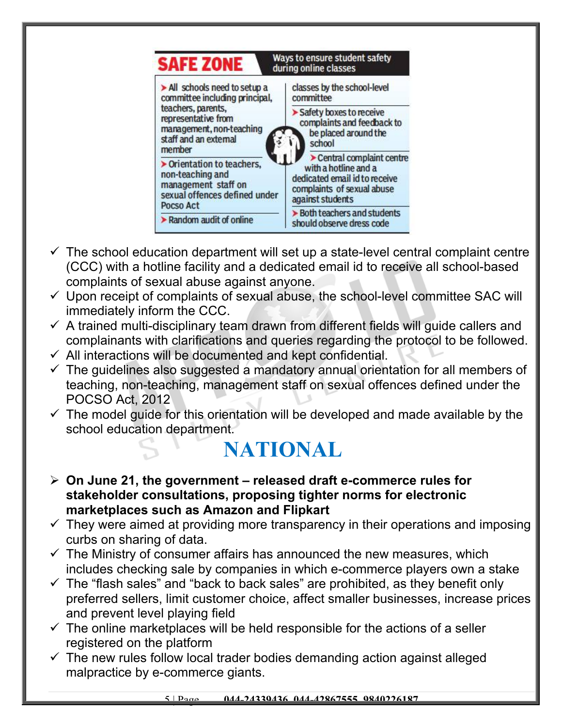

- $\checkmark$  The school education department will set up a state-level central complaint centre (CCC) with a hotline facility and a dedicated email id to receive all school-based complaints of sexual abuse against anyone.
- $\checkmark$  Upon receipt of complaints of sexual abuse, the school-level committee SAC will immediately inform the CCC.
- $\checkmark$  A trained multi-disciplinary team drawn from different fields will quide callers and complainants with clarifications and queries regarding the protocol to be followed.
- $\checkmark$  All interactions will be documented and kept confidential.
- $\checkmark$  The guidelines also suggested a mandatory annual orientation for all members of teaching, non-teaching, management staff on sexual offences defined under the POCSO Act, 2012
- $\checkmark$  The model guide for this orientation will be developed and made available by the school education department.

### **NATIONAL**

- **On June 21, the government released draft e-commerce rules for stakeholder consultations, proposing tighter norms for electronic marketplaces such as Amazon and Flipkart**
- $\checkmark$  They were aimed at providing more transparency in their operations and imposing curbs on sharing of data.
- $\checkmark$  The Ministry of consumer affairs has announced the new measures, which includes checking sale by companies in which e-commerce players own a stake
- $\checkmark$  The "flash sales" and "back to back sales" are prohibited, as they benefit only preferred sellers, limit customer choice, affect smaller businesses, increase prices and prevent level playing field
- $\checkmark$  The online marketplaces will be held responsible for the actions of a seller registered on the platform
- $\checkmark$  The new rules follow local trader bodies demanding action against alleged malpractice by e-commerce giants.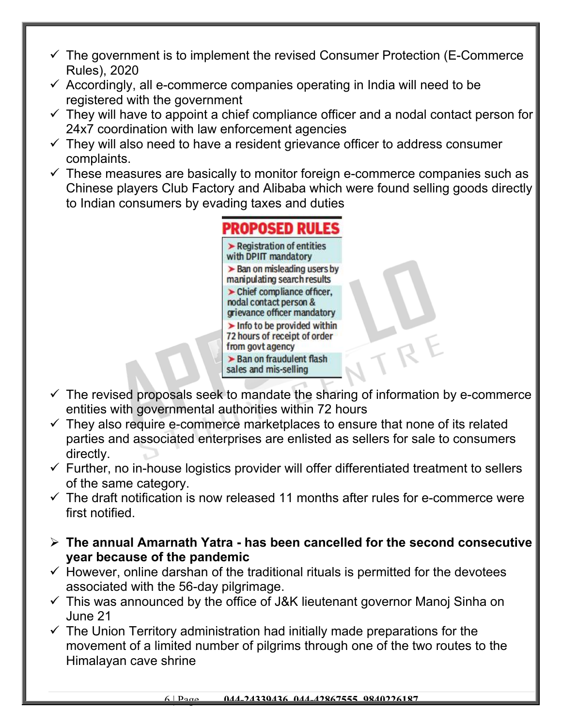- $\checkmark$  The government is to implement the revised Consumer Protection (E-Commerce Rules), 2020
- $\checkmark$  Accordingly, all e-commerce companies operating in India will need to be registered with the government
- $\checkmark$  They will have to appoint a chief compliance officer and a nodal contact person for 24x7 coordination with law enforcement agencies
- $\checkmark$  They will also need to have a resident grievance officer to address consumer complaints.
- $\checkmark$  These measures are basically to monitor foreign e-commerce companies such as Chinese players Club Factory and Alibaba which were found selling goods directly to Indian consumers by evading taxes and duties

#### PROPOSED RULE!  $\blacktriangleright$  Registration of entities with DPIIT mandatory  $\triangleright$  Ban on misleading users by manipulating search results  $\blacktriangleright$  Chief compliance of ficer. nodal contact person & grievance officer mandatory  $\blacktriangleright$  Info to be provided within 72 hours of receipt of order from govt agency > Ban on fraudulent flash sales and mis-selling

- $\checkmark$  The revised proposals seek to mandate the sharing of information by e-commerce entities with governmental authorities within 72 hours
- $\checkmark$  They also require e-commerce marketplaces to ensure that none of its related parties and associated enterprises are enlisted as sellers for sale to consumers directly.
- $\checkmark$  Further, no in-house logistics provider will offer differentiated treatment to sellers of the same category.
- $\checkmark$  The draft notification is now released 11 months after rules for e-commerce were first notified.
- **The annual Amarnath Yatra has been cancelled for the second consecutive year because of the pandemic**
- $\checkmark$  However, online darshan of the traditional rituals is permitted for the devotees associated with the 56-day pilgrimage.
- $\checkmark$  This was announced by the office of J&K lieutenant governor Manoj Sinha on June 21
- $\checkmark$  The Union Territory administration had initially made preparations for the movement of a limited number of pilgrims through one of the two routes to the Himalayan cave shrine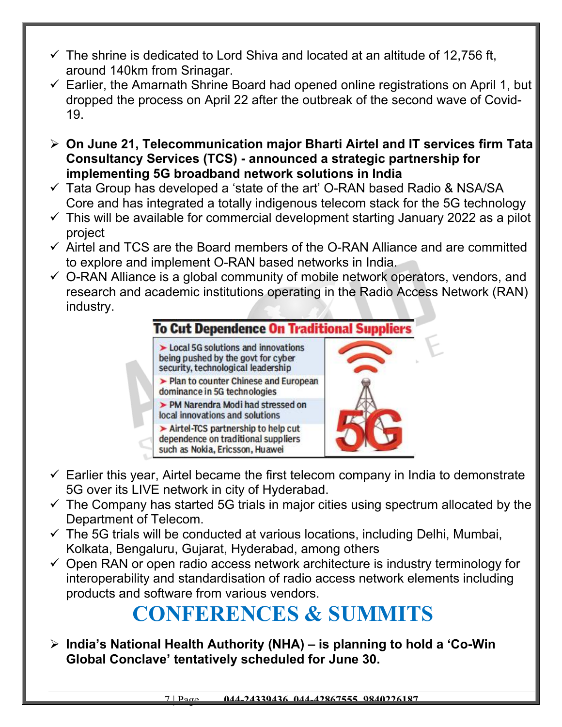- $\checkmark$  The shrine is dedicated to Lord Shiva and located at an altitude of 12,756 ft, around 140km from Srinagar.
- $\checkmark$  Earlier, the Amarnath Shrine Board had opened online registrations on April 1, but dropped the process on April 22 after the outbreak of the second wave of Covid-19.
- **On June 21, Telecommunication major Bharti Airtel and IT services firm Tata Consultancy Services (TCS) - announced a strategic partnership for implementing 5G broadband network solutions in India**
- $\checkmark$  Tata Group has developed a 'state of the art' O-RAN based Radio & NSA/SA Core and has integrated a totally indigenous telecom stack for the 5G technology
- $\checkmark$  This will be available for commercial development starting January 2022 as a pilot project
- $\checkmark$  Airtel and TCS are the Board members of the O-RAN Alliance and are committed to explore and implement O-RAN based networks in India.
- $\checkmark$  O-RAN Alliance is a global community of mobile network operators, vendors, and research and academic institutions operating in the Radio Access Network (RAN) industry.



- $\checkmark$  Earlier this year, Airtel became the first telecom company in India to demonstrate 5G over its LIVE network in city of Hyderabad.
- $\checkmark$  The Company has started 5G trials in major cities using spectrum allocated by the Department of Telecom.
- $\checkmark$  The 5G trials will be conducted at various locations, including Delhi, Mumbai, Kolkata, Bengaluru, Gujarat, Hyderabad, among others
- $\checkmark$  Open RAN or open radio access network architecture is industry terminology for interoperability and standardisation of radio access network elements including products and software from various vendors.

# **CONFERENCES & SUMMITS**

 **India's National Health Authority (NHA) – is planning to hold a 'Co-Win Global Conclave' tentatively scheduled for June 30.**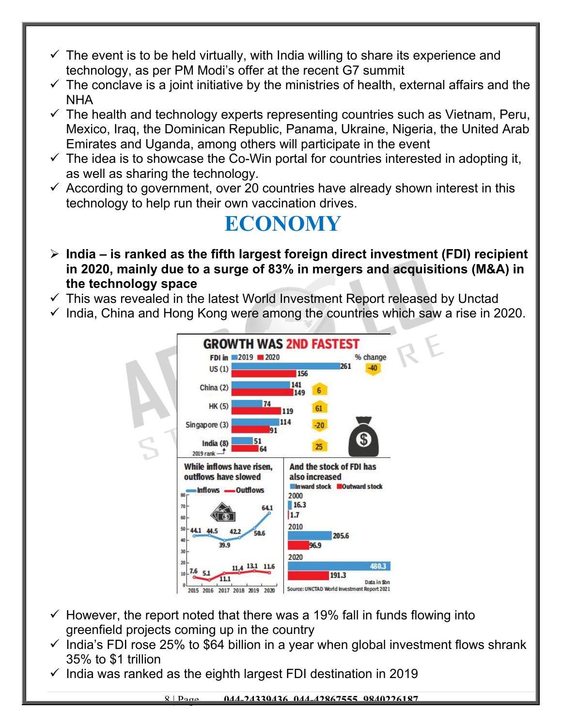- $\checkmark$  The event is to be held virtually, with India willing to share its experience and technology, as per PM Modi's offer at the recent G7 summit
- $\checkmark$  The conclave is a joint initiative by the ministries of health, external affairs and the NHA
- $\checkmark$  The health and technology experts representing countries such as Vietnam, Peru, Mexico, Iraq, the Dominican Republic, Panama, Ukraine, Nigeria, the United Arab Emirates and Uganda, among others will participate in the event
- $\checkmark$  The idea is to showcase the Co-Win portal for countries interested in adopting it, as well as sharing the technology.
- $\checkmark$  According to government, over 20 countries have already shown interest in this technology to help run their own vaccination drives.

### **ECONOMY**

- **India is ranked as the fifth largest foreign direct investment (FDI) recipient in 2020, mainly due to a surge of 83% in mergers and acquisitions (M&A) in the technology space**
- $\checkmark$  This was revealed in the latest World Investment Report released by Unctad
- $\checkmark$  India, China and Hong Kong were among the countries which saw a rise in 2020.



- $\checkmark$  However, the report noted that there was a 19% fall in funds flowing into greenfield projects coming up in the country
- $\checkmark$  India's FDI rose 25% to \$64 billion in a year when global investment flows shrank 35% to \$1 trillion
- $\checkmark$  India was ranked as the eighth largest FDI destination in 2019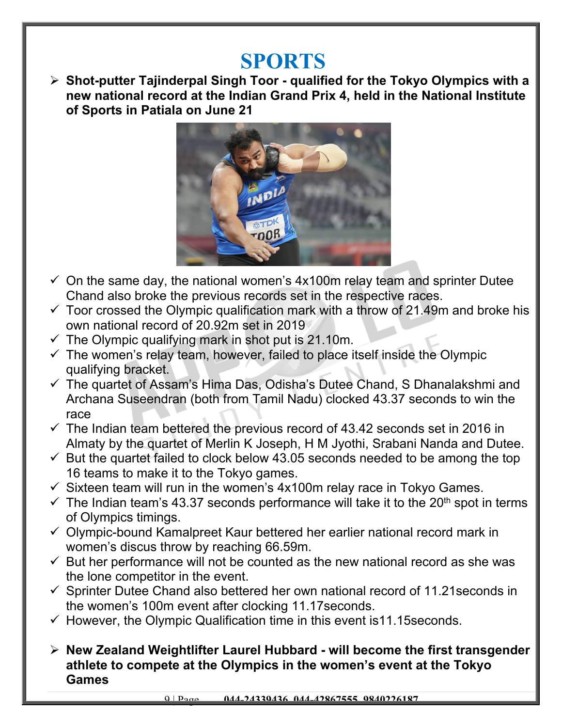### **SPORTS**

 **Shot-putter Tajinderpal Singh Toor - qualified for the Tokyo Olympics with a new national record at the Indian Grand Prix 4, held in the National Institute of Sports in Patiala on June 21**



- $\checkmark$  On the same day, the national women's 4x100m relay team and sprinter Dutee Chand also broke the previous records set in the respective races.
- $\checkmark$  Toor crossed the Olympic qualification mark with a throw of 21.49m and broke his own national record of 20.92m set in 2019
- $\checkmark$  The Olympic qualifying mark in shot put is 21.10m.
- $\checkmark$  The women's relay team, however, failed to place itself inside the Olympic qualifying bracket.
- $\checkmark$  The quartet of Assam's Hima Das, Odisha's Dutee Chand, S Dhanalakshmi and Archana Suseendran (both from Tamil Nadu) clocked 43.37 seconds to win the race
- $\checkmark$  The Indian team bettered the previous record of 43.42 seconds set in 2016 in Almaty by the quartet of Merlin K Joseph, H M Jyothi, Srabani Nanda and Dutee.
- $\checkmark$  But the quartet failed to clock below 43.05 seconds needed to be among the top 16 teams to make it to the Tokyo games.
- $\checkmark$  Sixteen team will run in the women's 4x100m relay race in Tokyo Games.
- $\checkmark$  The Indian team's 43.37 seconds performance will take it to the 20<sup>th</sup> spot in terms of Olympics timings.
- $\checkmark$  Olympic-bound Kamalpreet Kaur bettered her earlier national record mark in women's discus throw by reaching 66.59m.
- $\checkmark$  But her performance will not be counted as the new national record as she was the lone competitor in the event.
- $\checkmark$  Sprinter Dutee Chand also bettered her own national record of 11.21 seconds in the women's 100m event after clocking 11.17seconds.
- $\checkmark$  However, the Olympic Qualification time in this event is 11.15 seconds.
- **New Zealand Weightlifter Laurel Hubbard will become the first transgender athlete to compete at the Olympics in the women's event at the Tokyo Games**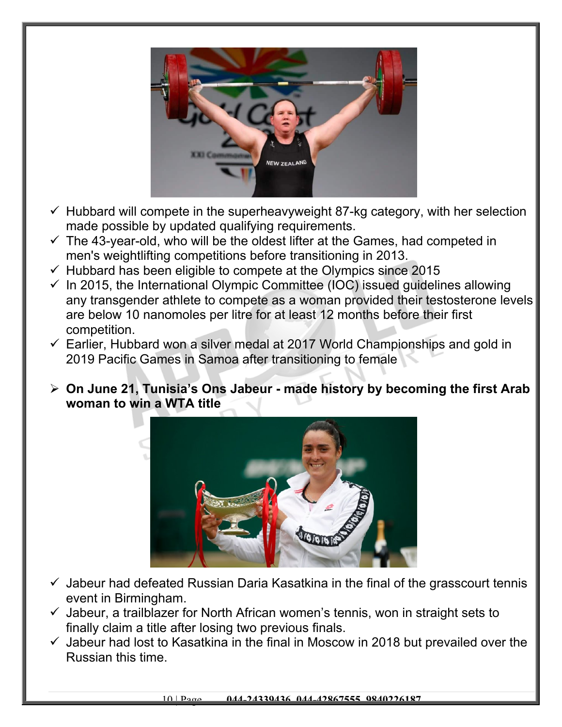

- $\checkmark$  Hubbard will compete in the superheavyweight 87-kg category, with her selection made possible by updated qualifying requirements.
- $\checkmark$  The 43-year-old, who will be the oldest lifter at the Games, had competed in men's weightlifting competitions before transitioning in 2013.
- $\checkmark$  Hubbard has been eligible to compete at the Olympics since 2015
- $\checkmark$  In 2015, the International Olympic Committee (IOC) issued quidelines allowing any transgender athlete to compete as a woman provided their testosterone levels are below 10 nanomoles per litre for at least 12 months before their first competition.
- $\checkmark$  Earlier, Hubbard won a silver medal at 2017 World Championships and gold in 2019 Pacific Games in Samoa after transitioning to female
- **On June 21, Tunisia's Ons Jabeur made history by becoming the first Arab woman to win a WTA title**



- $\checkmark$  Jabeur had defeated Russian Daria Kasatkina in the final of the grasscourt tennis event in Birmingham.
- $\checkmark$  Jabeur, a trailblazer for North African women's tennis, won in straight sets to finally claim a title after losing two previous finals.
- $\checkmark$  Jabeur had lost to Kasatkina in the final in Moscow in 2018 but prevailed over the Russian this time.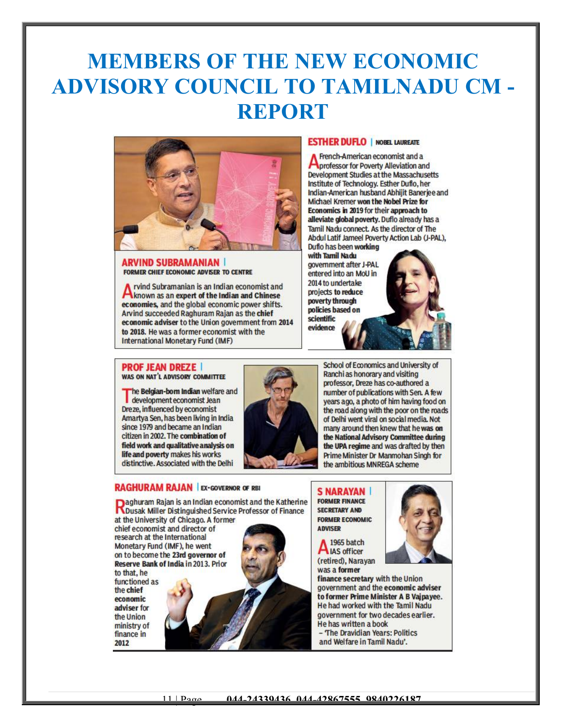## **MEMBERS OF THE NEW ECONOMIC ADVISORY COUNCIL TO TAMILNADU CM - REPORT**



#### **ARVIND SUBRAMANIAN FORMER CHIEF ECONOMIC ADVISER TO CENTRE**

rvind Subramanian is an Indian economist and **A** rvind Subramanian is an Indian economist and<br>known as an expert of the Indian and Chinese<br>expressions and the clobal economic power chifts economies, and the global economic power shifts. Arvind succeeded Raghuram Rajan as the chief economic adviser to the Union government from 2014 to 2018. He was a former economist with the **International Monetary Fund (IMF)** 

#### **ESTHER DUFLO | NOBEL LAUREATE**

French-American economist and a professor for Poverty Alleviation and Development Studies at the Massachusetts Institute of Technology, Esther Duflo, her Indian-American husband Abhilit Baneriee and Michael Kremer won the Nobel Prize for Economics in 2019 for their approach to alleviate global poverty. Duflo already has a Tamil Nadu connect. As the director of The Abdul Latif Jameel Poverty Action Lab (J-PAL), Duflo has been working

with Tamil Nadu government after J-PAL entered into an MoU in 2014 to undertake projects to reduce poverty through policies based on scientific evidence

#### **PROF JEAN DREZE |** WAS ON NAT'L ADVISORY COMMITTEE

The Belgian-born Indian welfare and<br>development economist Jean Dreze, influenced by economist Amartya Sen, has been living in India since 1979 and became an Indian citizen in 2002. The combination of field work and qualitative analysis on life and poverty makes his works distinctive. Associated with the Delhi



**Raghuram Rajan is an Indian economist and the Katherine**<br>Rousak Miller Distinguished Service Professor of Finance at the University of Chicago. A former

chief economist and director of research at the International Monetary Fund (IMF), he went on to become the 23rd governor of Reserve Bank of India in 2013. Prior to that, he functioned as the chief economic adviser for the Union ministry of finance in 2012



School of Economics and University of Ranchi as honorary and visiting professor, Dreze has co-authored a number of publications with Sen. A few years ago, a photo of him having food on the road along with the poor on the roads of Delhi went viral on social media. Not many around then knew that he was on the National Advisory Committee during the UPA regime and was drafted by then Prime Minister Dr Manmohan Singh for the ambitious MNREGA scheme

**S NARAYAN FORMER FINANCE SECRETARY AND FORMER ECONOMIC ADVISER** 

1965 batch A LAS officer (retired), Narayan was a former

finance secretary with the Union government and the economic adviser to former Prime Minister A B Vaipayee. He had worked with the Tamil Nadu government for two decades earlier. He has written a book - The Dravidian Years: Politics

and Welfare in Tamil Nadu'.